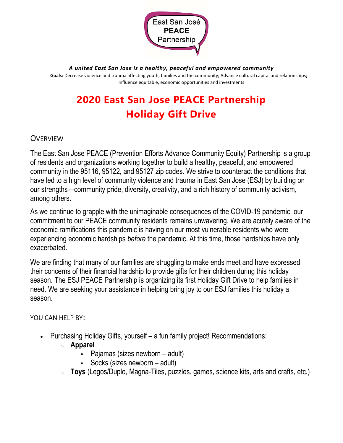

A united East San Jose is a healthy, peaceful and empowered community

Goals: Decrease violence and trauma affecting youth, families and the community; Advance cultural capital and relationships; Influence equitable, economic opportunities and investments

## 2020 East San Jose PEACE Partnership Holiday Gift Drive

## **OVERVIEW**

The East San Jose PEACE (Prevention Efforts Advance Community Equity) Partnership is a group of residents and organizations working together to build a healthy, peaceful, and empowered community in the 95116, 95122, and 95127 zip codes. We strive to counteract the conditions that have led to a high level of community violence and trauma in East San Jose (ESJ) by building on our strengths—community pride, diversity, creativity, and a rich history of community activism, among others.

As we continue to grapple with the unimaginable consequences of the COVID-19 pandemic, our commitment to our PEACE community residents remains unwavering. We are acutely aware of the economic ramifications this pandemic is having on our most vulnerable residents who were experiencing economic hardships before the pandemic. At this time, those hardships have only exacerbated.

We are finding that many of our families are struggling to make ends meet and have expressed their concerns of their financial hardship to provide gifts for their children during this holiday season. The ESJ PEACE Partnership is organizing its first Holiday Gift Drive to help families in need. We are seeking your assistance in helping bring joy to our ESJ families this holiday a season.

## YOU CAN HELP BY:

- Purchasing Holiday Gifts, yourself a fun family project! Recommendations:
	- o Apparel
		- Pajamas (sizes newborn adult)
		- Socks (sizes newborn adult)
	- o Toys (Legos/Duplo, Magna-Tiles, puzzles, games, science kits, arts and crafts, etc.)